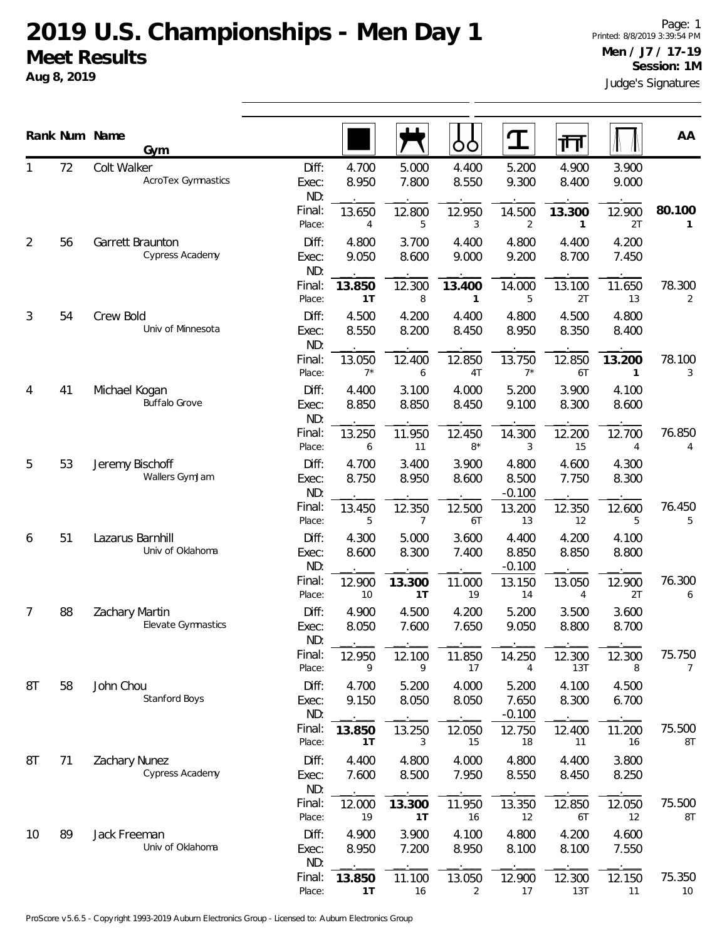## **2019 U.S. Championships - Men Day 1 Meet Results**

**Aug 8, 2019**

Judge's Signatures Page: 1 Printed: 8/8/2019 3:39:54 PM **Men / J7 / 17-19 Session: 1M**

|    |    | Rank Num Name<br>Gym                  |                       |                 |                          | OO             |                            | गि             |                        | AA                       |
|----|----|---------------------------------------|-----------------------|-----------------|--------------------------|----------------|----------------------------|----------------|------------------------|--------------------------|
|    | 72 | Colt Walker<br>AcroTex Gymnastics     | Diff:<br>Exec:<br>ND: | 4.700<br>8.950  | 5.000<br>7.800           | 4.400<br>8.550 | 5.200<br>9.300             | 4.900<br>8.400 | 3.900<br>9.000         |                          |
|    |    |                                       | Final:<br>Place:      | 13.650<br>4     | 12.800<br>5              | 12.950<br>3    | 14.500<br>2                | 13.300<br>1    | 12.900<br>2T           | 80.100<br>1              |
| 2  | 56 | Garrett Braunton<br>Cypress Academy   | Diff:<br>Exec:<br>ND: | 4.800<br>9.050  | 3.700<br>8.600           | 4.400<br>9.000 | 4.800<br>9.200             | 4.400<br>8.700 | 4.200<br>7.450         |                          |
|    |    |                                       | Final:<br>Place:      | 13.850<br>1T    | 12.300<br>8              | 13.400<br>1    | 14.000<br>5                | 13.100<br>2T   | 11.650<br>13           | 78.300<br>$\overline{2}$ |
| 3  | 54 | Crew Bold<br>Univ of Minnesota        | Diff:<br>Exec:<br>ND: | 4.500<br>8.550  | 4.200<br>8.200           | 4.400<br>8.450 | 4.800<br>8.950             | 4.500<br>8.350 | 4.800<br>8.400         |                          |
|    |    |                                       | Final:<br>Place:      | 13.050<br>$7^*$ | 12.400<br>6              | 12.850<br>4T   | 13.750<br>$7^*$            | 12.850<br>6T   | 13.200<br>$\mathbf{1}$ | 78.100<br>3              |
| 4  | 41 | Michael Kogan<br><b>Buffalo Grove</b> | Diff:<br>Exec:<br>ND: | 4.400<br>8.850  | 3.100<br>8.850           | 4.000<br>8.450 | 5.200<br>9.100             | 3.900<br>8.300 | 4.100<br>8.600         |                          |
|    |    |                                       | Final:<br>Place:      | 13.250<br>6     | 11.950<br>11             | 12.450<br>$8*$ | 14.300<br>3                | 12.200<br>15   | 12.700<br>4            | 76.850<br>4              |
| 5  | 53 | Jeremy Bischoff<br>Wallers GymJam     | Diff:<br>Exec:<br>ND: | 4.700<br>8.750  | 3.400<br>8.950           | 3.900<br>8.600 | 4.800<br>8.500<br>$-0.100$ | 4.600<br>7.750 | 4.300<br>8.300         |                          |
|    |    |                                       | Final:<br>Place:      | 13.450<br>5     | 12.350<br>7              | 12.500<br>6T   | 13.200<br>13               | 12.350<br>12   | 12.600<br>5            | 76.450<br>5              |
| 6  | 51 | Lazarus Barnhill<br>Univ of Oklahoma  | Diff:<br>Exec:<br>ND: | 4.300<br>8.600  | 5.000<br>8.300           | 3.600<br>7.400 | 4.400<br>8.850<br>$-0.100$ | 4.200<br>8.850 | 4.100<br>8.800         |                          |
|    |    |                                       | Final:<br>Place:      | 12.900<br>10    | 13.300<br>1 <sub>T</sub> | 11.000<br>19   | 13.150<br>14               | 13.050<br>4    | 12.900<br>2T           | 76.300<br>6              |
| 7  | 88 | Zachary Martin<br>Elevate Gymnastics  | Diff:<br>Exec:<br>ND: | 4.900<br>8.050  | 4.500<br>7.600           | 4.200<br>7.650 | 5.200<br>9.050             | 3.500<br>8.800 | 3.600<br>8.700         |                          |
|    |    |                                       | Final:<br>Place:      | 12.950<br>9     | 12.100<br>9              | 11.850<br>17   | 14.250<br>4                | 12.300<br>13T  | 12.300<br>8            | 75.750<br>$\overline{7}$ |
| 8T | 58 | John Chou<br>Stanford Boys            | Diff:<br>Exec:<br>ND: | 4.700<br>9.150  | 5.200<br>8.050           | 4.000<br>8.050 | 5.200<br>7.650<br>$-0.100$ | 4.100<br>8.300 | 4.500<br>6.700         |                          |
|    |    |                                       | Final:<br>Place:      | 13.850<br>1T    | 13.250<br>3              | 12.050<br>15   | 12.750<br>18               | 12.400<br>11   | 11.200<br>16           | 75.500<br>8T             |
| 8T | 71 | Zachary Nunez<br>Cypress Academy      | Diff:<br>Exec:<br>ND: | 4.400<br>7.600  | 4.800<br>8.500           | 4.000<br>7.950 | 4.800<br>8.550             | 4.400<br>8.450 | 3.800<br>8.250         |                          |
|    |    |                                       | Final:<br>Place:      | 12.000<br>19    | 13.300<br>1T             | 11.950<br>16   | 13.350<br>12               | 12.850<br>6T   | 12.050<br>12           | 75.500<br>8T             |
| 10 | 89 | Jack Freeman<br>Univ of Oklahoma      | Diff:<br>Exec:<br>ND: | 4.900<br>8.950  | 3.900<br>7.200           | 4.100<br>8.950 | 4.800<br>8.100             | 4.200<br>8.100 | 4.600<br>7.550         |                          |
|    |    |                                       | Final:<br>Place:      | 13.850<br>1T    | 11.100<br>$16$           | 13.050<br>2    | 12.900<br>$17$             | 12.300<br>13T  | 12.150<br>11           | 75.350<br>10             |